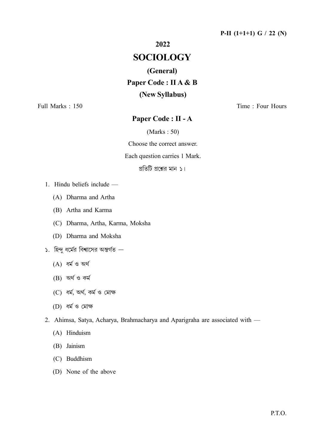# P-II  $(1+1+1)$  G / 22 (N)

# 2022

# **SOCIOLOGY**

#### (General)

Paper Code: II A & B (New Syllabus)

Full Marks: 150

Time: Four Hours

## Paper Code : II - A

 $(Marks: 50)$ 

Choose the correct answer.

Each question carries 1 Mark.

প্রতিটি প্রশ্নের মান ১।

- 1. Hindu beliefs include
	- (A) Dharma and Artha
	- (B) Artha and Karma
	- (C) Dharma, Artha, Karma, Moksha
	- (D) Dharma and Moksha
- $\mathsf{S}.$  হিন্দু ধর্মের বিশ্বাসের অন্তর্গত
	- $(A)$  ধৰ্ম ও অৰ্থ
	- $(B)$  অৰ্থ ও কৰ্ম
	- (C) ধৰ্ম, অৰ্থ, কৰ্ম ও মোক্ষ
	- (D) ধৰ্ম ও মোক্ষ
- 2. Ahimsa, Satya, Acharya, Brahmacharya and Aparigraha are associated with -
	- (A) Hinduism
	- (B) Jainism
	- (C) Buddhism
	- (D) None of the above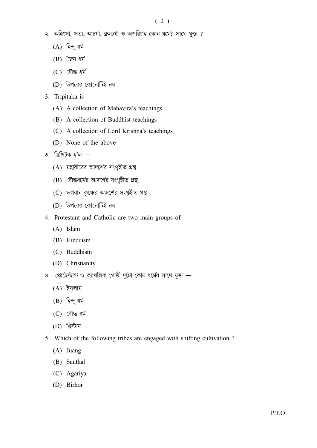- ২. অহিংসা, সত্য, আচর্য্য, ব্রহ্মচর্য্য ও অপরিগ্রহ কোন ধর্মের সাথে যুক্ত ?
	- $(A)$  হিন্দু ধর্ম
	- $(B)$  জৈন ধৰ্ম
	- $(C)$  বৌদ্ধ ধর্ম
	- (D) উপরের কোনোর্টিই নয়
- 3. Tripitaka is -
	- (A) A collection of Mahavira's teachings
	- (B) A collection of Buddhist teachings
	- (C) A collection of Lord Krishna's teachings
	- (D) None of the above
- ৩. ত্রিপিটক হ'ল  $-$ 
	- $(A)$  মহাবীরের আদর্শের সংগৃহীত গ্রন্থ
	- (B) বৌদ্ধধর্মের আদর্শের সংগৃহীত গ্রন্থ
	- (C) ভগবান কৃষ্ণের আদর্শের সংগৃহীত গ্রন্থ
	- (D) উপরের কোনোর্টিই নয়
- 4. Protestant and Catholic are two main groups of -
	- $(A)$  Islam
	- (B) Hinduism
	- (C) Buddhism
	- (D) Christianity
- 8. প্রোটেস্টান্ট ও ক্যাথলিক গোষ্ঠী দুটো কোন ধর্মের সাথে যুক্ত  $-$ 
	- $(A)$  ইসলাম
	- $(B)$  হিন্দু ধর্ম
	- (C) বৌদ্ধ ধৰ্ম
	- (D) খ্রিস্টান
- 5. Which of the following tribes are engaged with shifting cultivation?
	- $(A)$  Juang
	- (B) Santhal
	- (C) Agariya
	- (D) Birhor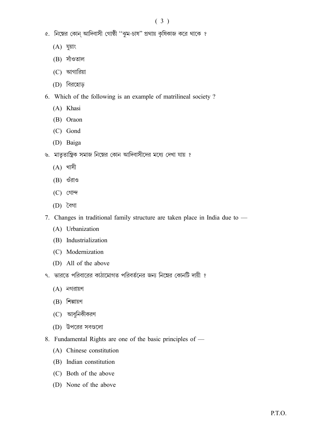- ৫. নিম্নের কোন্ আদিবাসী গোষ্ঠী "ঝুম-চাষ" প্রথায় কৃষিকাজ করে থাকে ?
	- $(A)$  যুয়াং
	- $(B)$  সাঁওতাল
	- $(C)$  আগারিয়া
	- (D) বিরহোড়
- 6. Which of the following is an example of matrilineal society?
	- (A) Khasi
	- (B) Oraon
	- (C) Gond
	- (D) Baiga
- ৬. মাতৃতান্ত্রিক সমাজ নিম্নের কোন আদিবাসীদের মধ্যে দেখা যায় ?
	- $(A)$  খাসী
	- $(B)$  ওঁরাও
	- $(C)$  গোন্দ
	- (D) বৈগা
- 7. Changes in traditional family structure are taken place in India due to -
	- (A) Urbanization
	- (B) Industrialization
	- (C) Modernization
	- (D) All of the above
- ৭. ভারতে পরিবারের কাঠামোগত পরিবর্তনের জন্য নিম্নের কোনটি দায়ী ?
	- $(A)$  নগরায়ণ
	- $(B)$  শিল্পায়ণ
	- (C) আধুনিকীকরণ
	- (D) উপরের সবগুলো
- 8. Fundamental Rights are one of the basic principles of -
	- (A) Chinese constitution
	- (B) Indian constitution
	- (C) Both of the above
	- (D) None of the above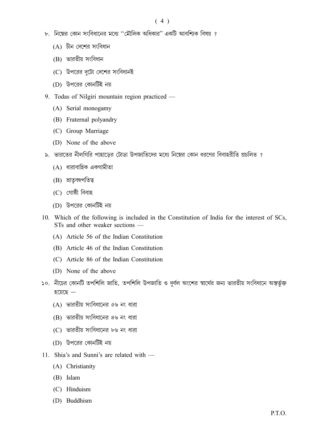- ৮. নিম্নের কোন সংবিধানের মধ্যে ''মৌলিক অধিকার'' একটি আবশ্যিক বিষয় ?
	- $(A)$  চীন দেশের সংবিধান
	- (B) ভারতীয় সংবিধান
	- (C) উপরের দুটো দেশের সংবিধানই
	- (D) উপরের কোনটিই নয়
- 9. Todas of Nilgiri mountain region practiced
	- (A) Serial monogamy
	- (B) Fraternal polyandry
	- (C) Group Marriage
	- (D) None of the above
- ৯. ভারতের নীলগিরি পাহাড়ের টোডা উপজাতিদের মধ্যে নিম্নের কোন ধরণের বিবাহরীতি প্রচলিত ?
	- $(A)$  ধারাবাহিক একগামীতা
	- (B) লাতৃবহুপতিত্ব
	- $(C)$  গোষ্ঠী বিবাহ
	- (D) উপরের কোনটিই নয়
- 10. Which of the following is included in the Constitution of India for the interest of SCs, STs and other weaker sections -
	- (A) Article 56 of the Indian Constitution
	- (B) Article 46 of the Indian Constitution
	- (C) Article 86 of the Indian Constitution
	- (D) None of the above
- ১০. নীচের কোনটি তপশিলি জাতি, তপশিলি উপজাতি ও দর্বল অংশের স্বার্থের জন্য ভারতীয় সংবিধানে অন্তর্ভুক্ত হয়েছে  $-$ 
	- $(A)$  ভারতীয় সংবিধানের ৫৬ নং ধারা
	- $(B)$  ভারতীয় সংবিধানের ৪৬ নং ধারা
	- $(C)$  ভারতীয় সংবিধানের ৮৬ নং ধারা
	- (D) উপরের কোনটিই নয়
- 11. Shia's and Sunni's are related with
	- (A) Christianity
	- (B) Islam
	- (C) Hinduism
	- (D) Buddhism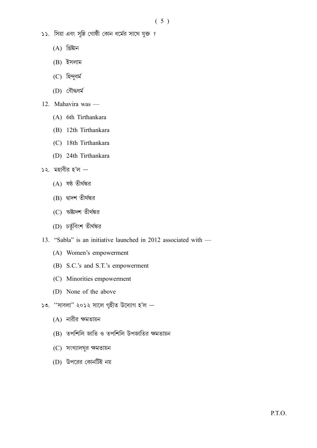- ১১. সিয়া এবং সুন্নি গোষ্ঠী কোন ধর্মের সাথে যুক্ত ?
	- $(A)$  খ্রিষ্টান
	- $(B)$  ইসলাম
	- (C) হিন্দুধর্ম
	- (D) বৌদ্ধধর্ম
- 12. Mahavira was -
	- (A) 6th Tirthankara
	- (B) 12th Tirthankara
	- (C) 18th Tirthankara
	- (D) 24th Tirthankara
- $\sim$ ২. মহাবীর হ'ল  $-$ 
	- $(A)$  যন্ঠ তীৰ্থঙ্কর
	- (B) দ্বাদশ তীৰ্থঙ্কর
	- (C) অষ্টাদশ তীৰ্থঙ্কর
	- (D) চর্তুবিংশ তীর্থঙ্কর
- 13. "Sabla" is an initiative launched in 2012 associated with -
	- (A) Women's empowerment
	- (B) S.C.'s and S.T.'s empowerment
	- (C) Minorities empowerment
	- (D) None of the above
- ১৩. "সাবলা" ২০১২ সালে গৃহীত উদ্যোগ হ'ল
	- $(A)$  নারীর ক্ষমতায়ন
	- $(B)$  তপশিলি জাতি ও তপশিলি উপজাতির ক্ষমতায়ন
	- (C) সংখ্যালঘুর ক্ষমতায়ন
	- (D) উপরের কোনটিই নয়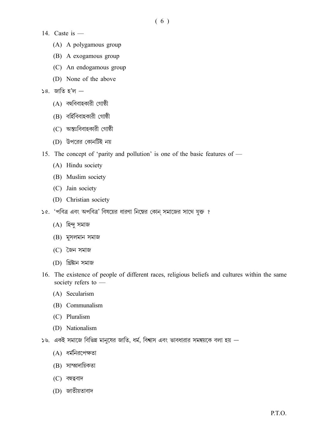- 14. Caste is  $-$ 
	- (A) A polygamous group
	- (B) A exogamous group
	- (C) An endogamous group
	- (D) None of the above
- ১৪. জাতি হ'ল  $-$ 
	- $(A)$  বহুবিবাহকারী গোষ্ঠী
	- (B) বৰ্হিবিবাহকারী গোষ্ঠী
	- $(C)$  অন্তঃবিবাহকারী গোষ্ঠী
	- (D) উপরের কোনটিই নয়
- 15. The concept of 'parity and pollution' is one of the basic features of
	- (A) Hindu society
	- (B) Muslim society
	- (C) Jain society
	- (D) Christian society
- ১৫. 'পবিত্র এবং অপবিত্র' বিষয়ের ধারণা নিম্নের কোন্ সমাজের সাথে যুক্ত ?
	- $(A)$  হিন্দু সমাজ
	- $(B)$  মুসলমান সমাজ
	- $(C)$  জৈন সমাজ
	- (D) খ্রিষ্টান সমাজ
- 16. The existence of people of different races, religious beliefs and cultures within the same society refers to -
	- (A) Secularism
	- (B) Communalism
	- (C) Pluralism
	- (D) Nationalism
- ১৬. একই সমাজে বিভিন্ন মানুষের জাতি, ধর্ম, বিশ্বাস এবং ভাবধারার সমন্বয়কে বলা হয়
	- $(A)$  ধর্মনিরপেক্ষতা
	- (B) সাম্প্রদায়িকতা
	- $(C)$  বহুত্ববাদ
	- (D) জাতীয়তাবাদ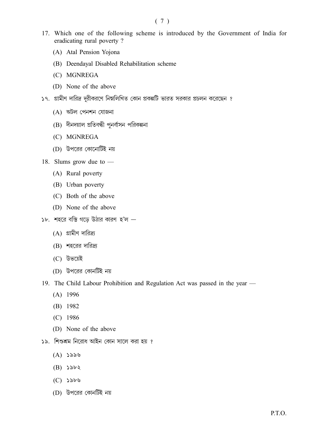$(7)$ 

- 17. Which one of the following scheme is introduced by the Government of India for eradicating rural poverty?
	- (A) Atal Pension Yojona
	- (B) Deendayal Disabled Rehabilitation scheme
	- (C) MGNREGA
	- (D) None of the above
- ১৭. গ্রামীণ দারিদ্র দূরীকরণে নিম্নলিখিত কোন প্রকল্পটি ভারত সরকার প্রচলন করেছেন ?
	- $(A)$  অটল পেনশন যোজনা
	- (B) দীনদয়াল প্ৰতিবন্ধী পুনৰ্বাসন পরিকল্পনা
	- (C) MGNREGA
	- (D) উপরের কোনোটিই নয়
- 18. Slums grow due to  $-$ 
	- (A) Rural poverty
	- (B) Urban poverty
	- (C) Both of the above
	- (D) None of the above
- ১৮. শহরে বস্তি গড়ে উঠার কারণ হ'ল  $-$ 
	- $(A)$  গ্রামীণ দারিদ্র্য
	- $(B)$  শহরের দারিদ্র্য
	- (C) উভয়েই
	- (D) উপরের কোনটিই নয়
- 19. The Child Labour Prohibition and Regulation Act was passed in the year
	- $(A)$  1996
	- $(B)$  1982
	- $(C)$  1986
	- (D) None of the above
- ১৯. শিশুশ্রম নিরোধ আইন কোন সালে করা হয় ?
	- $(A)$  ১৯৯৬
	- $(B)$   $\searrow$   $\searrow$
	- $(C)$   $\searrow$   $\searrow$
	- (D) উপরের কোনটিই নয়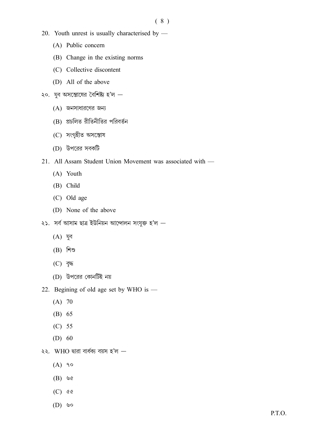- 20. Youth unrest is usually characterised by  $-$ 
	- (A) Public concern
	- (B) Change in the existing norms
	- (C) Collective discontent
	- (D) All of the above
- ২০. যুব অসন্তোষের বৈশিষ্ট্য হ'ল  $-$ 
	- $(A)$  জনসাধারণের জন্য
	- (B) প্রচলিত রীতিনীতির পরিবর্তন
	- (C) সংগৃহীত অসন্তোষ
	- (D) উপরের সবকটি
- 21. All Assam Student Union Movement was associated with -
	- (A) Youth
	- (B) Child
	- (C) Old age
	- (D) None of the above
- ২১. সর্ব আসাম ছাত্র ইউনিয়ন আন্দোলন সংযুক্ত হ'ল
	- $(A)$  যুব
	- $(B)$  শিশু
	- $(C)$  বৃদ্ধ
	- (D) উপরের কোনটিই নয়
- 22. Begining of old age set by WHO is -
	- $(A)$  70
	- $(B) 65$
	- $(C)$  55
	- $(D)$  60
- ২২. WHO দ্বারা বার্ধক্য বয়স হ'ল  $-$ 
	- $(A)$  90
	- $(B)$  ৬৫
	- $(C)$   $\alpha \alpha$
	- $(D)$  ৬০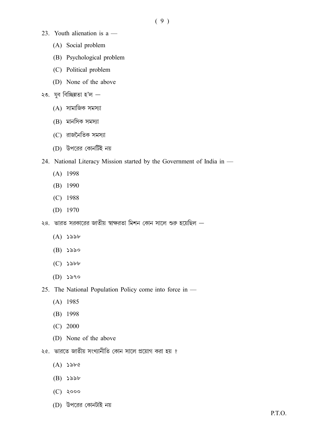$(9)$ 

- 23. Youth alienation is  $a$ 
	- (A) Social problem
	- (B) Psychological problem
	- (C) Political problem
	- (D) None of the above
- ২৩. যুব বিচ্ছিন্নতা হ'ল  $-$ 
	- $(A)$  সামাজিক সমস্যা
	- $(B)$  মানসিক সমস্যা
	- (C) রাজনৈতিক সমস্যা
	- (D) উপরের কোনটিই নয়
- 24. National Literacy Mission started by the Government of India in -
	- $(A)$  1998
	- $(B)$  1990
	- $(C)$  1988
	- $(D)$  1970
- ২৪. ভারত সরকারের জাতীয় স্বাক্ষরতা মিশন কোন সালে শুরু হয়েছিল
	- $(A)$  ১৯৯৮
	- $(B)$  ১৯৯০
	- $(C)$  > $\delta b$
	- $(D)$   $\searrow$   $\searrow$   $\circ$
- 25. The National Population Policy come into force in -
	- $(A)$  1985
	- $(B)$  1998
	- $(C)$  2000
	- (D) None of the above
- ২৫. ভারতে জাতীয় সংখ্যানীতি কোন সালে প্রয়োগ করা হয় ?
	- $(A)$   $\delta$ b $\delta$
	- $(B)$   $\searrow$   $\delta$  $\delta$  $\sigma$
	- $(C)$  2000
	- (D) উপরের কোনটাই নয়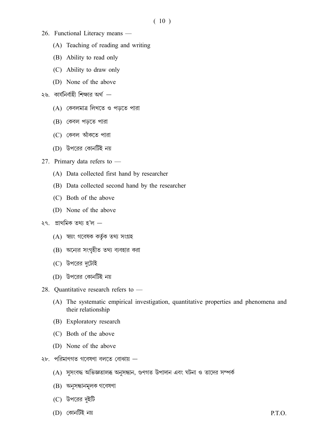$(10)$ 

- 26. Functional Literacy means -
	- (A) Teaching of reading and writing
	- (B) Ability to read only
	- (C) Ability to draw only
	- (D) None of the above
- ২৬. কার্যনির্বাহী শিক্ষার অর্থ
	- (A) কেবলমাত্র লিখতে ও পডতে পারা
	- (B) কেবল পড়তে পারা
	- (C) কেবল আঁকতে পারা
	- (D) উপরের কোনটিই নয়
- 27. Primary data refers to -
	- (A) Data collected first hand by researcher
	- (B) Data collected second hand by the researcher
	- (C) Both of the above
	- (D) None of the above

#### ২৭. প্ৰাথমিক তথ্য হ'ল  $-$

- (A) স্বয়ং গবেষক কৰ্তৃক তথ্য সংগ্ৰহ
- (B) অন্যের সংগৃহীত তথ্য ব্যবহার করা
- (C) উপরের দুটোই
- (D) উপরের কোনটিই নয়
- 28. Ouantitative research refers to -
	- (A) The systematic empirical investigation, quantitative properties and phenomena and their relationship
	- (B) Exploratory research
	- (C) Both of the above
	- (D) None of the above
- ২৮. পরিমাণগত গবেষণা বলতে বোঝায় -
	- (A) সুসংবদ্ধ অভিজ্ঞতালব্ধ অনুসন্ধান, গুণগত উপাদান এবং ঘটনা ও তাদের সম্পর্ক
	- (B) অনুসন্ধানমূলক গবেষণা
	- $(C)$  উপরের দইটি
	- $(D)$  কোনটিই নয়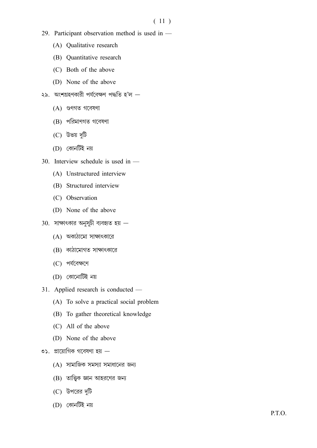$(11)$ 

- 29. Participant observation method is used in  $-$ 
	- (A) Qualitative research
	- (B) Quantitative research
	- (C) Both of the above
	- (D) None of the above
- ২৯. অংশগ্রহণকারী পর্যবেক্ষণ পদ্ধতি হ'ল  $-$ 
	- $(A)$  গুণগত গবেষণা
	- $(B)$  পরিমাণগত গবেষণা
	- $(C)$  উভয় দুটি
	- $(D)$  কোনটিই নয়
- 30. Interview schedule is used in -
	- (A) Unstructured interview
	- (B) Structured interview
	- (C) Observation
	- (D) None of the above
- $30.$  সাক্ষাৎকার অনুসূচী ব্যবহৃত হয়
	- $(A)$  অকাঠামো সাক্ষাৎকারে
	- $(B)$  কাঠামোগত সাক্ষাৎকারে
	- (C) পর্যবেক্ষণে
	- $(D)$  কোনোটিই নয়
- 31. Applied research is conducted
	- (A) To solve a practical social problem
	- (B) To gather theoretical knowledge
	- (C) All of the above
	- (D) None of the above
- ৩১. প্রায়োগিক গবেষণা হয়  $-$ 
	- $(A)$  সামাজিক সমস্যা সমাধানের জন্য
	- (B) তাত্ত্বিক জ্ঞান আহরণের জন্য
	- $(C)$  উপরের দুটি
	- (D) কোনটিই নয়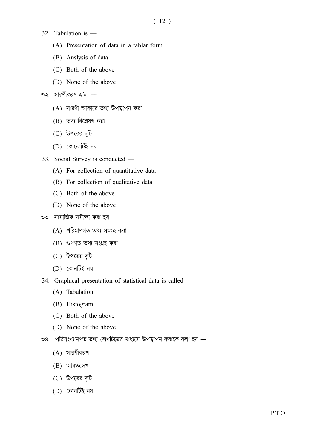- 32. Tabulation is  $-$ 
	- (A) Presentation of data in a tablar form
	- (B) Anslysis of data
	- (C) Both of the above
	- (D) None of the above

## ত২. সারণীকরণ হ'ল  $-$

- $(A)$  সারণী আকারে তথ্য উপস্থাপন করা
- (B) তথ্য বিশ্লেষণ করা
- $(C)$  উপরের দুটি
- (D) কোনোটিই নয়
- 33. Social Survey is conducted -
	- (A) For collection of quantitative data
	- (B) For collection of qualitative data
	- (C) Both of the above
	- (D) None of the above
- ৩৩. সামাজিক সমীক্ষা করা হয়  $-$ 
	- (A) পরিমাণগত তথ্য সংগ্রহ করা
	- $(B)$  গুণগত তথ্য সংগ্ৰহ করা
	- $(C)$  উপরের দুটি
	- $(D)$  কোনটিই নয়
- 34. Graphical presentation of statistical data is called -
	- (A) Tabulation
	- (B) Histogram
	- (C) Both of the above
	- (D) None of the above
- ৩৪. পরিসংখ্যানগত তথ্য লেখচিত্রের মাধ্যমে উপস্থাপন করাকে বলা হয়
	- $(A)$  সারণীকরণ
	- $(B)$  আয়তলেখ
	- $(C)$  উপরের দুটি
	- (D) কোনটিই নয়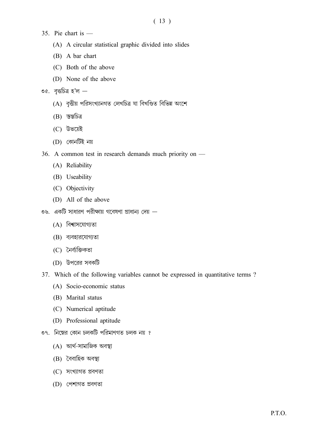- 35. Pie chart is  $-$ 
	- (A) A circular statistical graphic divided into slides
	- (B) A bar chart
	- (C) Both of the above
	- (D) None of the above
- ৩৫. বৃত্তচিত্ৰ হ'ল  $-$ 
	- $(A)$  বৃত্তীয় পরিসংখ্যানগত লেখচিত্র যা বিখণ্ডিত বিভিন্ন অংশে
	- $(B)$  স্তম্ভচিত্ৰ
	- (C) উভয়েই
	- (D) কোনটিই নয়
- 36. A common test in research demands much priority on  $-$ 
	- (A) Reliability
	- (B) Useability
	- (C) Objectivity
	- (D) All of the above
- ৩৬. একটি সাধারণ পরীক্ষায় গবেষণা প্রাধান্য দেয়
	- $(A)$  বিশ্বাসযোগ্যতা
	- $(B)$  ব্যবহারযোগ্যতা
	- (C) নৈৰ্ব্যক্তিকতা
	- (D) উপরের সবকটি
- 37. Which of the following variables cannot be expressed in quantitative terms?
	- (A) Socio-economic status
	- (B) Marital status
	- (C) Numerical aptitude
	- (D) Professional aptitude
- ৩৭. নিম্নের কোন চলকটি পরিমাণগত চলক নয় ?
	- (A) আৰ্থ-সামাজিক অবস্থা
	- (B) বৈবাহিক অবস্থা
	- $(C)$  সংখ্যাগত প্ৰবণতা
	- $(D)$  পেশাগত প্ৰবণতা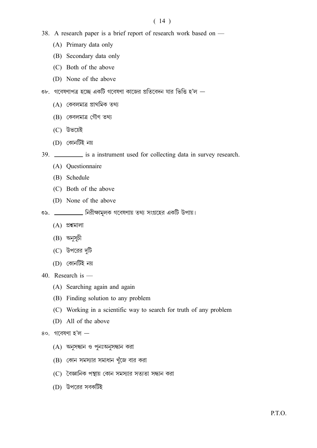## $(14)$

- 38. A research paper is a brief report of research work based on
	- (A) Primary data only
	- (B) Secondary data only
	- (C) Both of the above
	- (D) None of the above
- ৩৮. গবেষণাপত্র হচ্ছে একটি গবেষণা কাজের প্রতিবেদন যার ভিত্তি হ'ল
	- (A) কেবলমাত্র প্রাথমিক তথ্য
	- $(B)$  কেবলমাত্র গৌণ তথ্য
	- (C) উভয়েই
	- $(D)$  কোনটিই নয়
- 39. \_\_\_\_\_\_\_\_\_\_ is a instrument used for collecting data in survey research.
	- (A) Questionnaire
	- (B) Schedule
	- (C) Both of the above
	- (D) None of the above
- 39. !˜îû#Çþy›)œ"þ †öìî¡ì'yëû " íÄ ¢'@Ìöì£îû ~"!Ý vz ™yëÐû
	- $(A)$  প্রশ্নমালা
	- $(B)$  অনুসূচী
	- $(C)$  উপরের দুটি
	- $(D)$  কোনটিই নয়
- 40. Research is
	- (A) Searching again and again
	- (B) Finding solution to any problem
	- (C) Working in a scientific way to search for truth of any problem
	- (D) All of the above

## $80.$  গবেষণা হ'ল  $-$

- $(A)$  অনুসন্ধান ও পুনঃঅনুসন্ধান করা
- $(B)$  কোন সমস্যার সমাধান খুঁজে বার করা
- (C) বৈজ্ঞানিক পন্থায় কোন সমস্যার সত্যতা সন্ধান করা
- (D) উপরের সবকটিই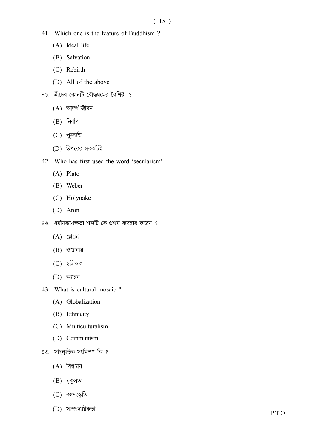- 41. Which one is the feature of Buddhism?
	- (A) Ideal life
	- (B) Salvation
	- (C) Rebirth
	- (D) All of the above
- ৪১. নীচের কোনটি বৌদ্ধর্যমের বৈশিষ্ট্য ?
	- $(A)$  আদর্শ জীবন
	- $(B)$  নিৰ্বাণ
	- $(C)$  পুনর্জন্ম
	- (D) উপরের সবকটিই
- 42. Who has first used the word 'secularism'
	- $(A)$  Plato
	- (B) Weber
	- (C) Holyoake
	- (D) Aron
- ৪২. ধর্মনিরপেক্ষতা শব্দটি কে প্রথম ব্যবহার করেন ?
	- $(A)$  প্লেটো
	- $(B)$  ওয়েবার
	- $(C)$  হলিওক
	- $(D)$  আরন
- 43. What is cultural mosaic?
	- (A) Globalization
	- (B) Ethnicity
	- (C) Multiculturalism
	- (D) Communism
- ৪৩. সাংস্কৃতিক সংমিশ্ৰণ কি ?
	- (A) বিশ্বায়ন
	- $(B)$  নৃকুলতা
	- (C) বহুসংস্কৃতি
	- (D) সাম্প্রদায়িকতা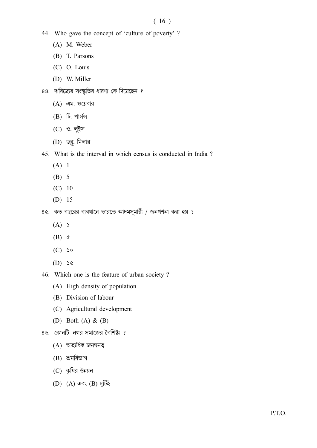# $(16)$

- 44. Who gave the concept of 'culture of poverty' ?
	- (A) M. Weber
	- (B) T. Parsons
	- $(C)$  O. Louis
	- (D) W. Miller
- ৪৪. দারিদ্র্যের সংস্কৃতির ধারণা কে দিয়েছেন ?
	- $(A)$  এম. ওয়েবার
	- $(B)$  টি. পার্সন্স
	- (C) ও. লুইস
	- $(D)$  ডব্লু. মিলার
- 45. What is the interval in which census is conducted in India?
	- $(A)$  1
	- $(B)$  5
	- $(C)$  10
	- $(D)$  15
- ৪৫. কত বছরের ব্যবধানে ভারতে আদমসুমারী / জনগণনা করা হয় ?
	- $(A)$
	- $(B)$   $\circ$
	- $(C)$  so
	- $(D)$  >  $\circ$
- 46. Which one is the feature of urban society?
	- (A) High density of population
	- (B) Division of labour
	- (C) Agricultural development
	- (D) Both (A) &  $(B)$
- ৪৬. কোনটি নগর সমাজের বৈশিষ্ট্য ?
	- $(A)$  অত্যধিক জনঘনত্ব
	- $(B)$  শ্রমবিভাগ
	- $(C)$  কৃষির উন্নয়ন
	- $(D)$   $(A)$  এবং  $(B)$  দুটিই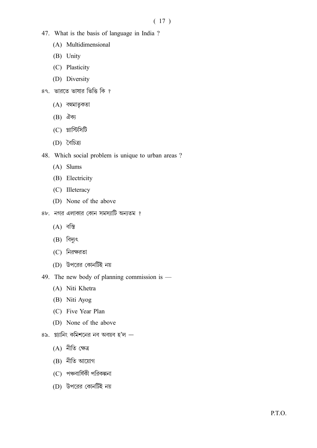- 47. What is the basis of language in India?
	- (A) Multidimensional
	- (B) Unity
	- (C) Plasticity
	- (D) Diversity
- ৪৭. ভারতে ভাষার ভিত্তি কি ?
	- $(A)$  বহুমাতৃকতা
	- $(B)$  ঐক্য
	- $(C)$  প্লাস্টিসিটি
	- (D) বৈচিত্ৰ্য
- 48. Which social problem is unique to urban areas?
	- $(A)$  Slums
	- (B) Electricity
	- (C) Illeteracy
	- (D) None of the above
- ৪৮. নগর এলাকার কোন সমস্যাটি অন্যতম ?
	- $(A)$  বস্তি
	- $(B)$  বিদ্যুৎ
	- $(C)$  নিরক্ষরতা
	- (D) উপরের কোনটিই নয়
- 49. The new body of planning commission is  $-$ 
	- (A) Niti Khetra
	- (B) Niti Ayog
	- (C) Five Year Plan
	- (D) None of the above
- $8$ ৯. প্ল্যানিং কমিশনের নব অবয়ব হ'ল  $-$ 
	- (A) নীতি ক্ষেত্ৰ
	- $(B)$  নীতি আয়োগ
	- $(C)$  পঞ্চবার্ষিকী পরিকল্পনা
	- (D) উপরের কোনটিই নয়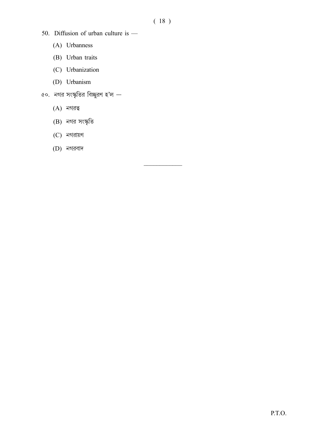- 50. Diffusion of urban culture is -
	- (A) Urbanness
	- (B) Urban traits
	- (C) Urbanization
	- (D) Urbanism
- ৫০. নগর সংস্কৃতির বিচ্ছুরণ হ'ল  $-$ 
	- $(A)$  নগরত্ব
	- (B) নগর সংস্কৃতি
	- $(C)$  নগরায়ণ
	- $(D)$  নগরবাদ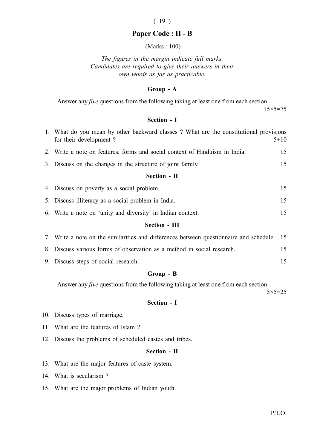# $(19)$

# Paper Code : II - B

(Marks : 100)

The figures in the margin indicate full marks. Candidates are required to give their answers in their own words as far as practicable.

#### Group - A

Answer any five questions from the following taking at least one from each section.

15×5=75

# Section - I

|                      | 1. What do you mean by other backward classes? What are the constitutional provisions<br>for their development? | $5 + 10$ |  |  |
|----------------------|-----------------------------------------------------------------------------------------------------------------|----------|--|--|
|                      | 2. Write a note on features, forms and social context of Hinduism in India.                                     | 15       |  |  |
|                      | 3. Discuss on the changes in the structure of joint family.                                                     | 15       |  |  |
| <b>Section - II</b>  |                                                                                                                 |          |  |  |
|                      | 4. Discuss on poverty as a social problem.                                                                      | 15       |  |  |
|                      | 5. Discuss illiteracy as a social problem in India.                                                             | 15       |  |  |
|                      | 6. Write a note on 'unity and diversity' in Indian context.                                                     | 15       |  |  |
| <b>Section - III</b> |                                                                                                                 |          |  |  |
|                      | 7. Write a note on the similarities and differences between questionnaire and schedule. 15                      |          |  |  |

- 8. Discuss various forms of observation as a method in social research. 15
- 9. Discuss steps of social research. 15

## Group - B

Answer any five questions from the following taking at least one from each section.

5×5=25

#### Section - I

- 10. Discuss types of marriage.
- 11. What are the features of Islam ?
- 12. Discuss the problems of scheduled castes and tribes.

#### Section - II

- 13. What are the major features of caste system.
- 14. What is secularism ?
- 15. What are the major problems of Indian youth.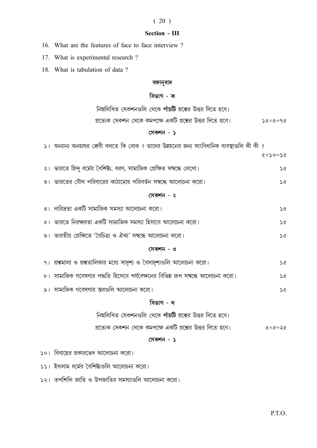#### $(20)$

#### **Section - III**

16. What are the features of face to face interview?

17. What is experimental research?

18. What is tabulation of data?

# বঙ্গানুবাদ

# বিভাগ - ক

নিম্নলিখিত সেকশনগুলি থেকে পাঁচটি প্রশ্নের উত্তর দিতে হবে।

প্রত্যেক সেকশন থেকে কমপক্ষে একটি প্রশ্নের উত্তর দিতে হবে।  $56 \times 6 = 96$ 

## সেকশন - ১

|           | ১। অন্যান্য অনগ্রসর শ্রেণী বলতে কি বোঝ ? তাদের উন্নয়নের জন্য সাংবিধানিক ব্যবস্থাগুলি কী কী ? |                                   |  |
|-----------|-----------------------------------------------------------------------------------------------|-----------------------------------|--|
|           |                                                                                               | $&0=0$ $&0=$ $\frac{1}{2}$        |  |
|           | ২। ভারতে হিন্দু ধর্মের বৈশিষ্ট্য, ধরণ, সামাজিক প্রেক্ষিত সম্বন্ধে লেখো।                       | $\mathcal{S} \subset \mathcal{S}$ |  |
|           | ৩।  ভারতের যৌথ পরিবারের কাঠামোয় পরিবর্তন সম্বন্ধে আলোচনা করো।                                | <b>S&amp;</b>                     |  |
| সেকশন - ২ |                                                                                               |                                   |  |
|           | ৪। দারিদ্রতা একটি সামাজিক সমস্যা আলোচনা করো।                                                  | <b>S&amp;</b>                     |  |
|           | ৫।  ভারতে নিরক্ষরতা একটি সামাজিক সমস্যা হিসাবে আলোচনা করো।                                    | $\infty$                          |  |
|           | ৬।  ভারতীয় প্রেক্ষিতে 'বৈচিত্র্য ও ঐক্য' সম্বন্ধে আলোচনা করো।                                | <b>S</b>                          |  |
| সেকশন - ৩ |                                                                                               |                                   |  |
|           | ৭। প্রশ্নমালা ও প্রশ্নতালিকার মধ্যে সাদৃশ্য ও বৈসাদৃশ্যগুলি আলোচনা করো।                       | S &                               |  |
|           | ৮।  সামাজিক গবেষণার পদ্ধতি হিসেবে পর্যবেক্ষনের বিভিন্ন রূপ সম্বন্ধে আলোচনা করো।               | <b>S</b>                          |  |
|           | ৯। সামাজিক গবেষণার স্তরগুলি আলোচনা করো।                                                       | $\infty$                          |  |

## বিভাগ - খ

নিম্নলিখিত সেকশনগুলি থেকে পাঁচটি প্রশ্নের উত্তর দিতে হবে।

প্রত্যেক সেকশন থেকে কমপক্ষে একটি প্রশ্নের উত্তর দিতে হবে।  $<<=<>$ 

#### সেকশন - ১

- ১০। বিবাহের প্রকারভেদ আলোচনা করো।
- ১১। ইসলাম ধর্মের বৈশিষ্ট্যগুলি আলোচনা করো।
- $531$  তপশিলি জাতি ও উপজাতির সমস্যাগুলি আলোচনা করো।